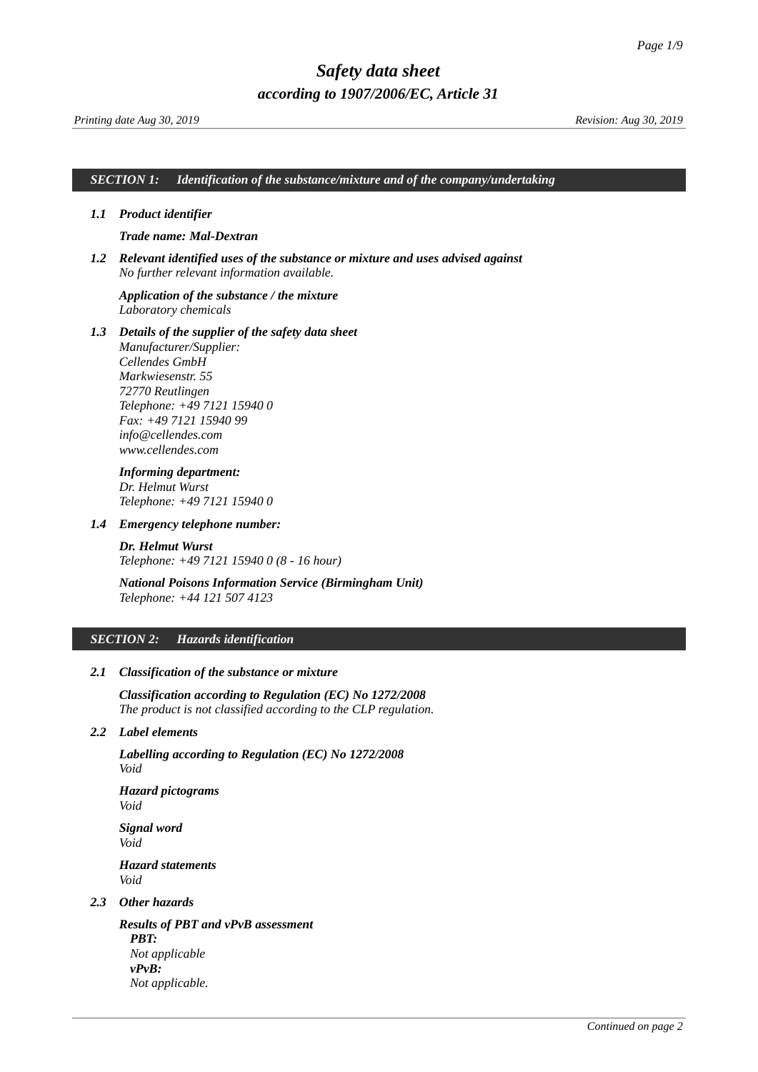### *SECTION 1: Identification of the substance/mixture and of the company/undertaking*

### *1.1 Product identifier*

### <span id="page-0-0"></span>*Trade name: Mal-Dextran*

*1.2 Relevant identified uses of the substance or mixture and uses advised against No further relevant information available.*

### *Application of the substance / the mixture Laboratory chemicals*

*1.3 Details of the supplier of the safety data sheet Manufacturer/Supplier: Cellendes GmbH Markwiesenstr. 55 72770 Reutlingen Telephone: +49 7121 15940 0 Fax: +49 7121 15940 99 info@cellendes.com www.cellendes.com*

# *Informing department:*

*Dr. Helmut Wurst Telephone: +49 7121 15940 0*

### *1.4 Emergency telephone number:*

*Dr. Helmut Wurst Telephone: +49 7121 15940 0 (8 - 16 hour)*

# *National Poisons Information Service (Birmingham Unit) Telephone: +44 121 507 4123*

### *SECTION 2: Hazards identification*

### *2.1 Classification of the substance or mixture*

*Classification according to Regulation (EC) No 1272/2008 The product is not classified according to the CLP regulation.*

### *2.2 Label elements*

*Labelling according to Regulation (EC) No 1272/2008 Void*

*Hazard pictograms Void*

*Signal word Void Hazard statements Void*

# *2.3 Other hazards*

*Results of PBT and vPvB assessment PBT: Not applicable vPvB: Not applicable.*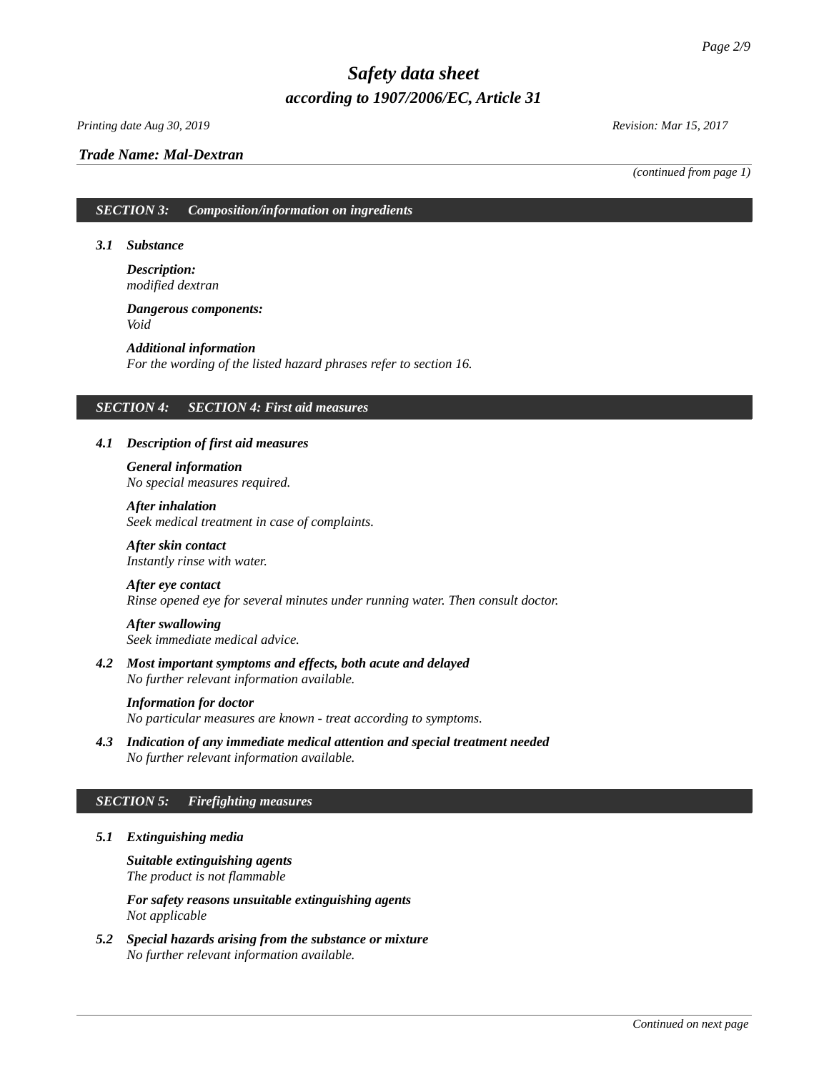### *Printing date Aug 30, 2019 Revision: Mar 15, 2017*

### *Trade Name: [Mal-Dextran](#page-0-0)*

*(continued from page 1)*

# *SECTION 3: Composition/information on ingredients*

### *3.1 Substance*

*Description: modified dextran*

# *Dangerous components: Void*

*Additional information For the wording of the listed hazard phrases refer to section 16.*

### *SECTION 4: SECTION 4: First aid measures*

# *4.1 Description of first aid measures*

*General information No special measures required.*

*After inhalation Seek medical treatment in case of complaints.*

*After skin contact Instantly rinse with water.*

### *After eye contact*

*Rinse opened eye for several minutes under running water. Then consult doctor.*

*After swallowing Seek immediate medical advice.*

*4.2 Most important symptoms and effects, both acute and delayed No further relevant information available.*

### *Information for doctor*

*No particular measures are known - treat according to symptoms.*

*4.3 Indication of any immediate medical attention and special treatment needed No further relevant information available.*

# *SECTION 5: Firefighting measures*

*5.1 Extinguishing media*

*Suitable extinguishing agents The product is not flammable*

*For safety reasons unsuitable extinguishing agents Not applicable*

*5.2 Special hazards arising from the substance or mixture No further relevant information available.*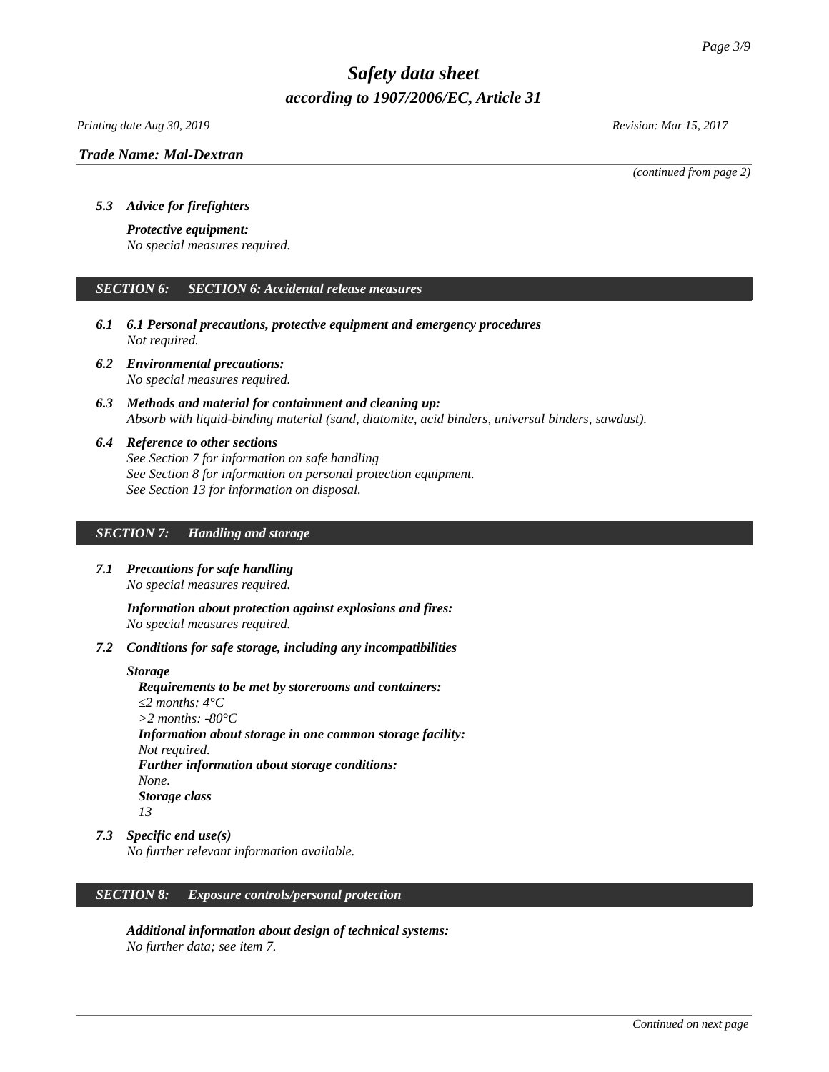*Printing date Aug 30, 2019 Revision: Mar 15, 2017*

### *Trade Name: [Mal-Dextran](#page-0-0)*

*(continued from page 2)*

# *5.3 Advice for firefighters*

### *Protective equipment:*

*No special measures required.*

# *SECTION 6: SECTION 6: Accidental release measures*

- *6.1 6.1 Personal precautions, protective equipment and emergency procedures Not required.*
- *6.2 Environmental precautions: No special measures required.*
- *6.3 Methods and material for containment and cleaning up: Absorb with liquid-binding material (sand, diatomite, acid binders, universal binders, sawdust).*
- *6.4 Reference to other sections See Section 7 for information on safe handling See Section 8 for information on personal protection equipment. See Section 13 for information on disposal.*

# *SECTION 7: Handling and storage*

*7.1 Precautions for safe handling No special measures required.*

> *Information about protection against explosions and fires: No special measures required.*

*7.2 Conditions for safe storage, including any incompatibilities*

### *Storage*

*Requirements to be met by storerooms and containers: ≤2 months: 4°C >2 months: -80°C Information about storage in one common storage facility: Not required. Further information about storage conditions: None. Storage class 13*

*7.3 Specific end use(s)*

*No further relevant information available.*

# *SECTION 8: Exposure controls/personal protection*

*Additional information about design of technical systems: No further data; see item 7.*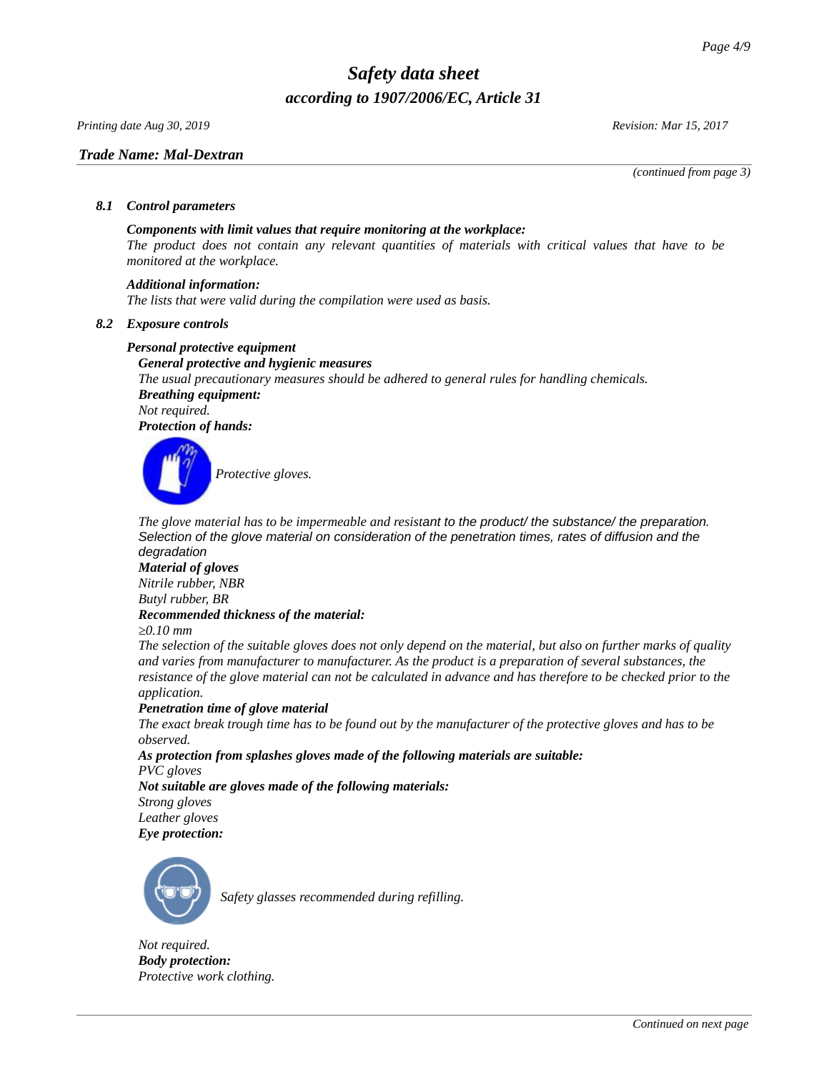*Printing date Aug 30, 2019 Revision: Mar 15, 2017*

# *Trade Name: [Mal-Dextran](#page-0-0)*

*(continued from page 3)*

# *8.1 Control parameters*

# *Components with limit values that require monitoring at the workplace:*

*The product does not contain any relevant quantities of materials with critical values that have to be monitored at the workplace.*

# *Additional information:*

*The lists that were valid during the compilation were used as basis.*

# *8.2 Exposure controls*

# *Personal protective equipment*

*General protective and hygienic measures The usual precautionary measures should be adhered to general rules for handling chemicals. Breathing equipment: Not required. Protection of hands:*



*The glove material has to be impermeable and resistant to the product/ the substance/ the preparation. Selection of the glove material on consideration of the penetration times, rates of diffusion and the degradation*

# *Material of gloves*

*Nitrile rubber, NBR Butyl rubber, BR*

# *Recommended thickness of the material:*

*≥0.10 mm*

*The selection of the suitable gloves does not only depend on the material, but also on further marks of quality and varies from manufacturer to manufacturer. As the product is a preparation of several substances, the resistance of the glove material can not be calculated in advance and has therefore to be checked prior to the application.*

# *Penetration time of glove material*

*The exact break trough time has to be found out by the manufacturer of the protective gloves and has to be observed.*

*As protection from splashes gloves made of the following materials are suitable:*

*PVC gloves*

*Not suitable are gloves made of the following materials: Strong gloves Leather gloves*

*Eye protection:*



*Safety glasses recommended during refilling.*

*Not required. Body protection: Protective work clothing.*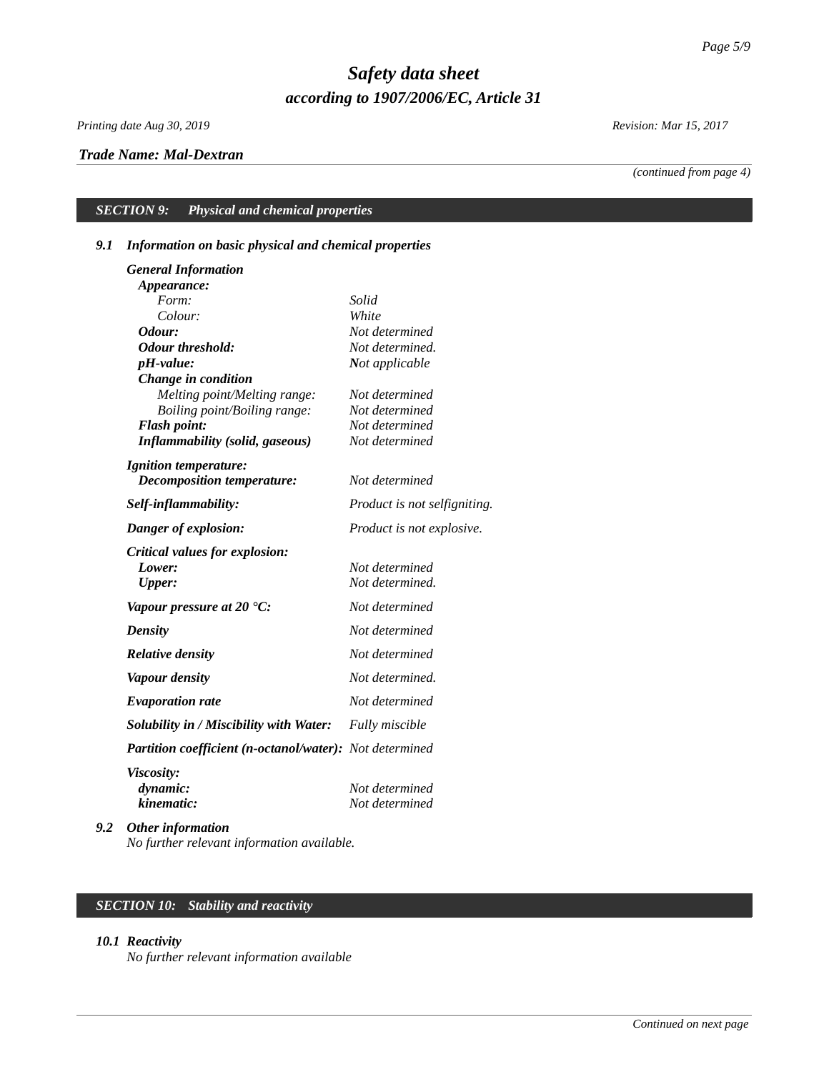*Printing date Aug 30, 2019 Revision: Mar 15, 2017*

# *Trade Name: [Mal-Dextran](#page-0-0)*

*(continued from page 4)*

# *SECTION 9: Physical and chemical properties*

# *9.1 Information on basic physical and chemical properties*

| <b>General Information</b>                                    |                                  |
|---------------------------------------------------------------|----------------------------------|
| Appearance:                                                   |                                  |
| Form:                                                         | Solid                            |
| Colour:                                                       | White                            |
| Odour:                                                        | Not determined                   |
| <b>Odour threshold:</b>                                       | Not determined.                  |
| pH-value:                                                     | Not applicable                   |
| Change in condition                                           |                                  |
| Melting point/Melting range:                                  | Not determined                   |
| Boiling point/Boiling range:                                  | Not determined<br>Not determined |
| <b>Flash point:</b><br><b>Inflammability (solid, gaseous)</b> | Not determined                   |
|                                                               |                                  |
| <i>Ignition temperature:</i>                                  |                                  |
| <b>Decomposition temperature:</b>                             | Not determined                   |
| Self-inflammability:                                          | Product is not selfigniting.     |
| Danger of explosion:                                          | Product is not explosive.        |
| Critical values for explosion:                                |                                  |
| Lower:                                                        | Not determined                   |
| Upper:                                                        | Not determined.                  |
| Vapour pressure at 20 $^{\circ}$ C:                           | Not determined                   |
| <b>Density</b>                                                | Not determined                   |
| <b>Relative density</b>                                       | Not determined                   |
| <b>Vapour density</b>                                         | Not determined.                  |
| <b>Evaporation rate</b>                                       | Not determined                   |
| <b>Solubility in / Miscibility with Water:</b>                | Fully miscible                   |
| Partition coefficient (n-octanol/water): Not determined       |                                  |
| <b>Viscosity:</b>                                             |                                  |
| dynamic:                                                      | Not determined                   |
| kinematic:                                                    | Not determined                   |
| $\sim$ $\sim$ $\sim$ $\sim$                                   |                                  |

*9.2 Other information No further relevant information available.*

# *SECTION 10: Stability and reactivity*

### *10.1 Reactivity*

*No further relevant information available*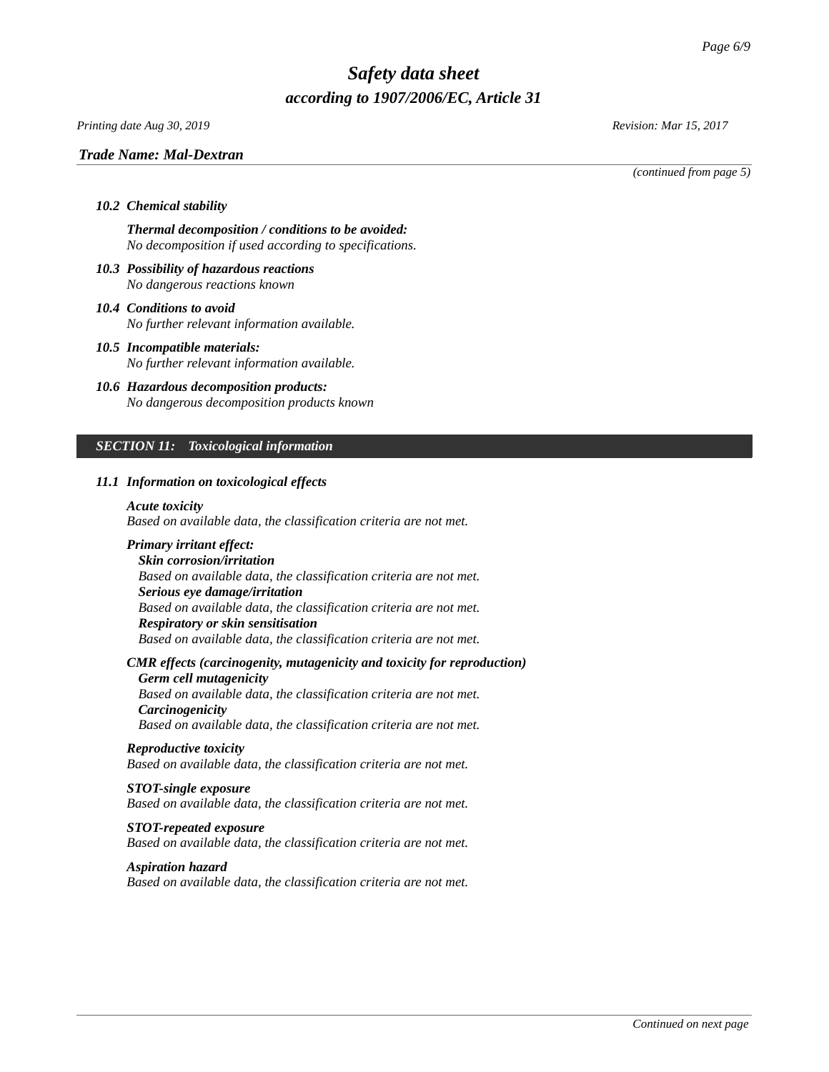*Printing date Aug 30, 2019 Revision: Mar 15, 2017*

### *Trade Name: [Mal-Dextran](#page-0-0)*

*(continued from page 5)*

### *10.2 Chemical stability*

*Thermal decomposition / conditions to be avoided: No decomposition if used according to specifications.*

- *10.3 Possibility of hazardous reactions No dangerous reactions known*
- *10.4 Conditions to avoid No further relevant information available.*
- *10.5 Incompatible materials: No further relevant information available.*
- *10.6 Hazardous decomposition products: No dangerous decomposition products known*

# *SECTION 11: Toxicological information*

### *11.1 Information on toxicological effects*

### *Acute toxicity*

*Based on available data, the classification criteria are not met.*

# *Primary irritant effect:*

*Skin corrosion/irritation Based on available data, the classification criteria are not met. Serious eye damage/irritation Based on available data, the classification criteria are not met. Respiratory or skin sensitisation Based on available data, the classification criteria are not met.*

# *CMR effects (carcinogenity, mutagenicity and toxicity for reproduction)*

*Germ cell mutagenicity Based on available data, the classification criteria are not met. Carcinogenicity Based on available data, the classification criteria are not met.*

#### *Reproductive toxicity*

*Based on available data, the classification criteria are not met.*

### *STOT-single exposure*

*Based on available data, the classification criteria are not met.*

### *STOT-repeated exposure*

*Based on available data, the classification criteria are not met.*

#### *Aspiration hazard*

*Based on available data, the classification criteria are not met.*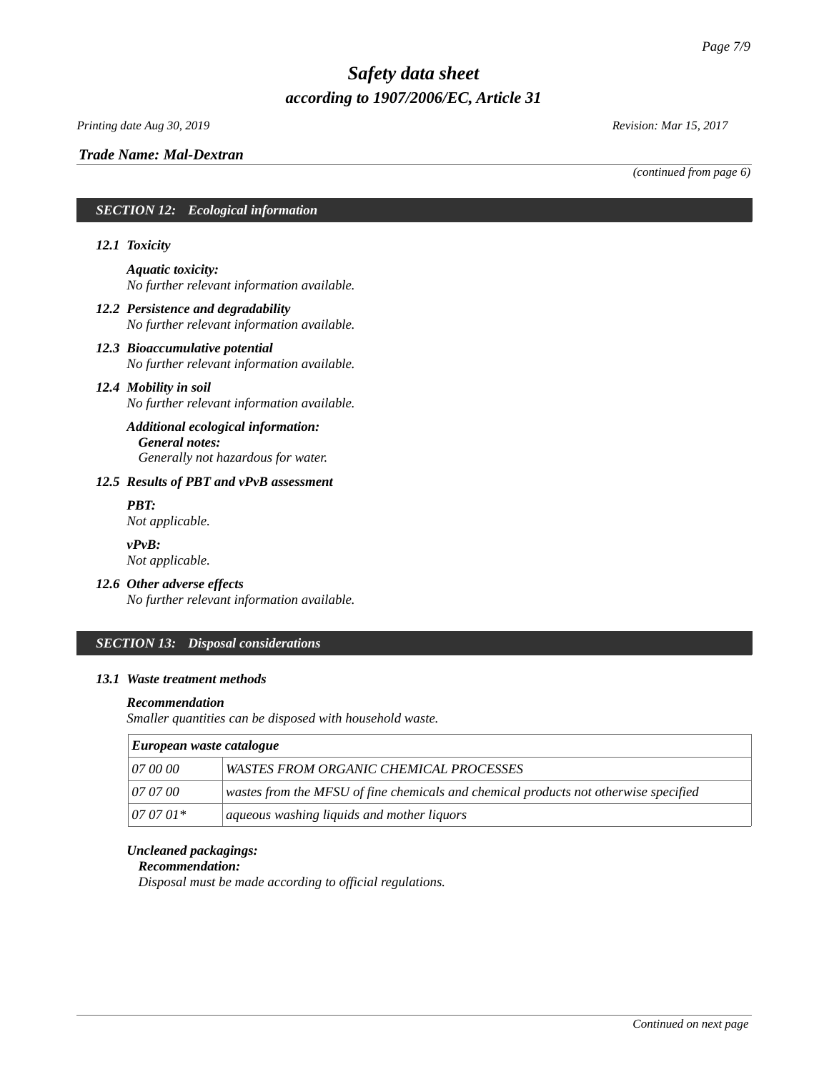*Printing date Aug 30, 2019 Revision: Mar 15, 2017*

*(continued from page 6)*

# *SECTION 12: Ecological information*

# *12.1 Toxicity*

*Aquatic toxicity: No further relevant information available.*

- *12.2 Persistence and degradability No further relevant information available.*
- *12.3 Bioaccumulative potential No further relevant information available.*

# *12.4 Mobility in soil*

*No further relevant information available.*

# *Additional ecological information: General notes: Generally not hazardous for water.*

# *12.5 Results of PBT and vPvB assessment*

*PBT: Not applicable.*

*vPvB: Not applicable.*

# *12.6 Other adverse effects*

*No further relevant information available.*

# *SECTION 13: Disposal considerations*

# *13.1 Waste treatment methods*

# *Recommendation*

*Smaller quantities can be disposed with household waste.*

| European waste catalogue |                                                                                      |
|--------------------------|--------------------------------------------------------------------------------------|
| <i>07 00 00</i>          | <b>WASTES FROM ORGANIC CHEMICAL PROCESSES</b>                                        |
| 07 07 00                 | wastes from the MFSU of fine chemicals and chemical products not otherwise specified |
| $070701*$                | aqueous washing liquids and mother liquors                                           |

# *Uncleaned packagings:*

# *Recommendation:*

*Disposal must be made according to official regulations.*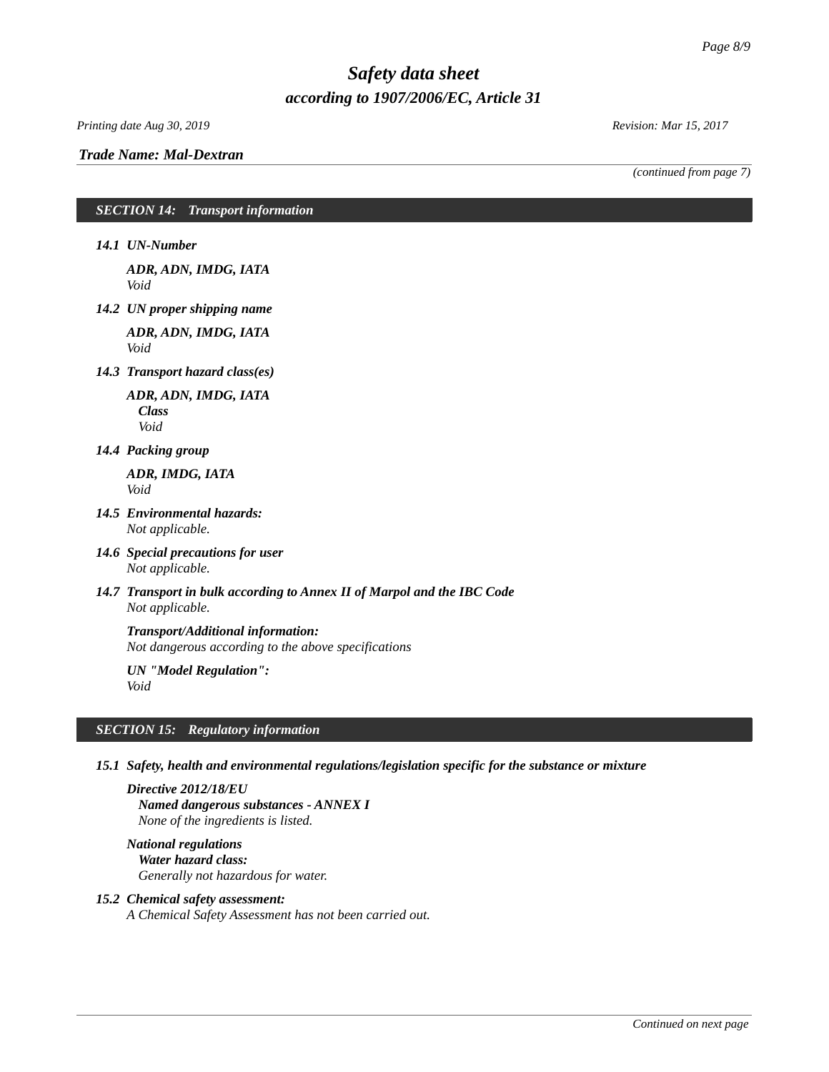*Printing date Aug 30, 2019 Revision: Mar 15, 2017*

*(continued from page 7)*

# *SECTION 14: Transport information*

*14.1 UN-Number*

*ADR, ADN, IMDG, IATA Void*

*14.2 UN proper shipping name*

*ADR, ADN, IMDG, IATA Void*

*14.3 Transport hazard class(es)*

*ADR, ADN, IMDG, IATA Class Void*

*14.4 Packing group*

*ADR, IMDG, IATA Void*

- *14.5 Environmental hazards: Not applicable.*
- *14.6 Special precautions for user Not applicable.*
- *14.7 Transport in bulk according to Annex II of Marpol and the IBC Code Not applicable.*

# *Transport/Additional information:*

*Not dangerous according to the above specifications*

*UN "Model Regulation": Void*

# *SECTION 15: Regulatory information*

*15.1 Safety, health and environmental regulations/legislation specific for the substance or mixture*

*Directive 2012/18/EU Named dangerous substances - ANNEX I None of the ingredients is listed.*

*National regulations Water hazard class: Generally not hazardous for water.*

### *15.2 Chemical safety assessment:*

*A Chemical Safety Assessment has not been carried out.*